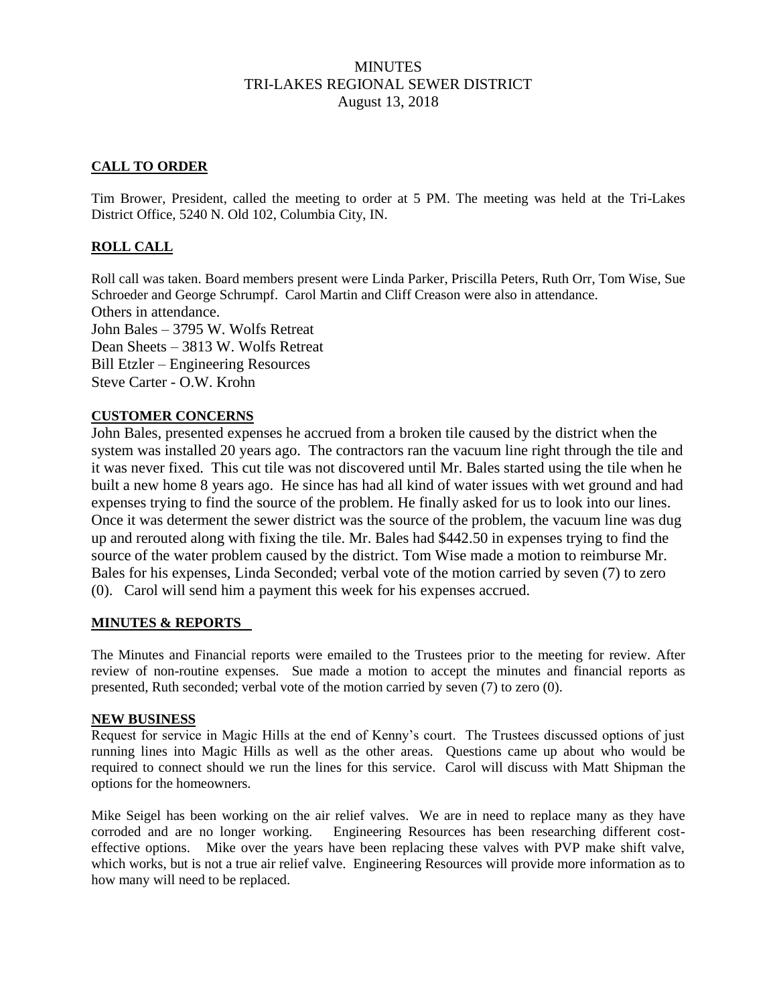## MINUTES TRI-LAKES REGIONAL SEWER DISTRICT August 13, 2018

# **CALL TO ORDER**

Tim Brower, President, called the meeting to order at 5 PM. The meeting was held at the Tri-Lakes District Office, 5240 N. Old 102, Columbia City, IN.

## **ROLL CALL**

Roll call was taken. Board members present were Linda Parker, Priscilla Peters, Ruth Orr, Tom Wise, Sue Schroeder and George Schrumpf. Carol Martin and Cliff Creason were also in attendance. Others in attendance. John Bales – 3795 W. Wolfs Retreat Dean Sheets – 3813 W. Wolfs Retreat Bill Etzler – Engineering Resources Steve Carter - O.W. Krohn

### **CUSTOMER CONCERNS**

John Bales, presented expenses he accrued from a broken tile caused by the district when the system was installed 20 years ago. The contractors ran the vacuum line right through the tile and it was never fixed. This cut tile was not discovered until Mr. Bales started using the tile when he built a new home 8 years ago. He since has had all kind of water issues with wet ground and had expenses trying to find the source of the problem. He finally asked for us to look into our lines. Once it was determent the sewer district was the source of the problem, the vacuum line was dug up and rerouted along with fixing the tile. Mr. Bales had \$442.50 in expenses trying to find the source of the water problem caused by the district. Tom Wise made a motion to reimburse Mr. Bales for his expenses, Linda Seconded; verbal vote of the motion carried by seven (7) to zero (0). Carol will send him a payment this week for his expenses accrued.

#### **MINUTES & REPORTS**

The Minutes and Financial reports were emailed to the Trustees prior to the meeting for review. After review of non-routine expenses. Sue made a motion to accept the minutes and financial reports as presented, Ruth seconded; verbal vote of the motion carried by seven (7) to zero (0).

#### **NEW BUSINESS**

Request for service in Magic Hills at the end of Kenny's court. The Trustees discussed options of just running lines into Magic Hills as well as the other areas. Questions came up about who would be required to connect should we run the lines for this service. Carol will discuss with Matt Shipman the options for the homeowners.

Mike Seigel has been working on the air relief valves. We are in need to replace many as they have corroded and are no longer working. Engineering Resources has been researching different costeffective options. Mike over the years have been replacing these valves with PVP make shift valve, which works, but is not a true air relief valve. Engineering Resources will provide more information as to how many will need to be replaced.